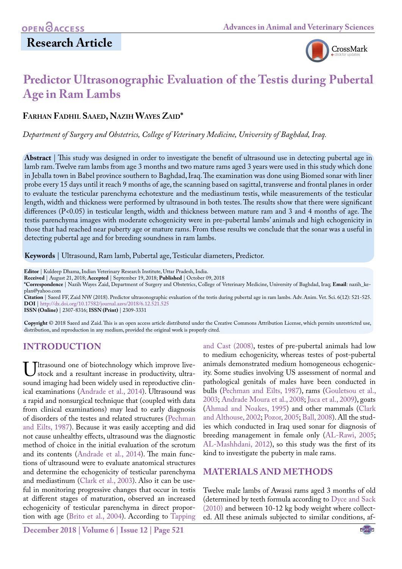# **Research Article**



# **Predictor Ultrasonographic Evaluation of the Testis during Pubertal Age in Ram Lambs**

**Farhan Fadhil Saaed, Nazih Wayes Zaid\***

*Department of Surgery and Obstetrics, College of Veterinary Medicine, University of Baghdad, Iraq.*

**Abstract** | This study was designed in order to investigate the benefit of ultrasound use in detecting pubertal age in lamb ram. Twelve ram lambs from age 3 months and two mature rams aged 3 years were used in this study which done in Jeballa town in Babel province southern to Baghdad, Iraq. The examination was done using Biomed sonar with liner probe every 15 days until it reach 9 months of age, the scanning based on sagittal, transverse and frontal planes in order to evaluate the testicular parenchyma echotexture and the mediastinum testis, while measurements of the testicular length, width and thickness were performed by ultrasound in both testes. The results show that there were significant differences (P<0.05) in testicular length, width and thickness between mature ram and 3 and 4 months of age. The testis parenchyma images with moderate echogenicity were in pre-pubertal lambs' animals and high echogenicity in those that had reached near puberty age or mature rams. From these results we conclude that the sonar was a useful in detecting pubertal age and for breeding soundness in ram lambs.

**Keywords** | Ultrasound, Ram lamb, Pubertal age, Testicular diameters, Predictor.

**Editor** | Kuldeep Dhama, Indian Veterinary Research Institute, Uttar Pradesh, India.

**Received** | August 21, 2018; **Accepted** | September 19, 2018; **Published** | October 09, 2018

**\*Correspondence** | Nazih Wayes Zaid, Department of Surgery and Obstetrics, College of Veterinary Medicine, University of Baghdad, Iraq; **Email**: nazih\_keplan@yahoo.com

**Citation** | Saeed FF, Zaid NW (2018). Predictor ultrasonographic evaluation of the testis during pubertal age in ram lambs. Adv. Anim. Vet. Sci. 6(12): 521-525. **DOI** | [http://dx.doi.org/10.17582/journal.aavs/2018/6](http://dx.doi.org/10.17582/journal.aavs/2018/6.12.521.525).12.521.525

**ISSN (Online)** | 2307-8316; **ISSN (Print)** | 2309-3331

**Copyright** © 2018 Saeed and Zaid. This is an open access article distributed under the Creative Commons Attribution License, which permits unrestricted use, distribution, and reproduction in any medium, provided the original work is properly cited.

### **Introduction**

Ultrasound one of biotechnology which improve live-<br>sound imaging had been widely used in reproductive clinsound imaging had been widely used in reproductive clinical examinations [\(Andrade et al., 2014\)](#page-3-0). Ultrasound was a rapid and nonsurgical technique that (coupled with data from clinical examinations) may lead to early diagnosis of disorders of the testes and related structures ([Pechman](#page-4-0)  [and Eilts, 1987\)](#page-4-0). Because it was easily accepting and did not cause unhealthy effects, ultrasound was the diagnostic method of choice in the initial evaluation of the scrotum and its contents ([Andrade et al., 2014\)](#page-3-0). The main functions of ultrasound were to evaluate anatomical structures and determine the echogenicity of testicular parenchyma and mediastinum [\(Clark et al., 2003\)](#page-3-1). Also it can be useful in monitoring progressive changes that occur in testis at different stages of maturation, observed an increased echogenicity of testicular parenchyma in direct proportion with age [\(Brito et al., 2004](#page-3-2)). According to [Tapping](#page-4-1) 

[and Cast \(2008\)](#page-4-1), testes of pre-pubertal animals had low to medium echogenicity, whereas testes of post-pubertal animals demonstrated medium homogeneous echogenicity. Some studies involving US assessment of normal and pathological genitals of males have been conducted in bulls [\(Pechman and Eilts, 1987](#page-4-0)), rams ([Gouletsou et al.,](#page-3-3) [2003;](#page-3-3) [Andrade Moura et al., 2008;](#page-3-4) [Juca et al., 2009](#page-4-2)), goats [\(Ahmad and Noakes, 1995](#page-3-5)) and other mammals [\(Clark](#page-3-6) [and Althouse, 2002](#page-3-6); Pozor, 2005; [Ball, 2008](#page-3-7)). All the studies which conducted in Iraq used sonar for diagnosis of breeding management in female only ([AL-Rawi, 2005;](#page-3-8) [AL-Mashhdani, 2012\)](#page-3-9), so this study was the first of its kind to investigate the puberty in male rams.

### **Materials and Methods**

Twelve male lambs of Awassi rams aged 3 months of old (determined by teeth formula according to [Dyce and Sack](#page-3-10) [\(2010\)](#page-3-10) and between 10-12 kg body weight where collected. All these animals subjected to similar conditions, af-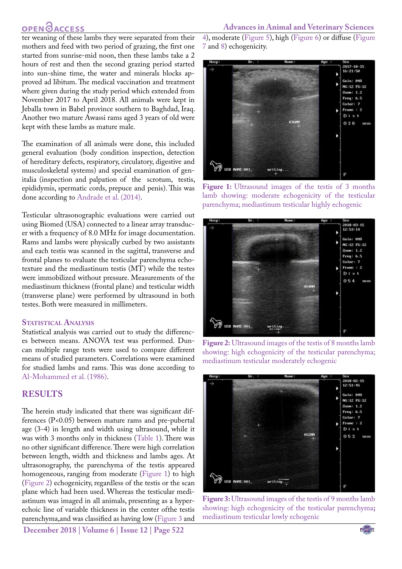## **OPEN**OACCESS

ter weaning of these lambs they were separated from their mothers and feed with two period of grazing, the first one started from sunrise-mid noon, then these lambs take a 2 hours of rest and then the second grazing period started into sun-shine time, the water and minerals blocks approved ad libitum. The medical vaccination and treatment where given during the study period which extended from November 2017 to April 2018. All animals were kept in Jeballa town in Babel province southern to Baghdad, Iraq. Another two mature Awassi rams aged 3 years of old were kept with these lambs as mature male.

The examination of all animals were done, this included general evaluation (body condition inspection, detection of hereditary defects, respiratory, circulatory, digestive and musculoskeletal systems) and special examination of genitalia (inspection and palpation of the scrotum, testis, epididymis, spermatic cords, prepuce and penis). This was done according t[o Andrade et al. \(2014\)](#page-3-0).

Testicular ultrasonographic evaluations were carried out using Biomed (USA) connected to a linear array transducer with a frequency of 8.0 MHz for image documentation. Rams and lambs were physically curbed by two assistants and each testis was scanned in the sagittal, transverse and frontal planes to evaluate the testicular parenchyma echotexture and the mediastinum testis (MT) while the testes were immobilized without pressure. Measurements of the mediastinum thickness (frontal plane) and testicular width (transverse plane) were performed by ultrasound in both testes. Both were measured in millimeters.

#### **STATISTICAL ANALYSIS**

Statistical analysis was carried out to study the differences between means. ANOVA test was performed. Duncan multiple range tests were used to compare different means of studied parameters. Correlations were examined for studied lambs and rams. This was done according to [Al-Mohammed et al. \(1986\)](#page-3-11).

#### **Results**

The herein study indicated that there was significant differences (P<0.05) between mature rams and pre-pubertal age (3-4) in length and width using ultrasound, while it was with 3 months only in thickness ([Table 1\)](#page-2-0). There was no other significant difference. There were high correlation between length, width and thickness and lambs ages. At ultrasonography, the parenchyma of the testis appeared homogeneous, ranging from moderate [\(Figure 1](#page-1-0)) to high [\(Figure 2\)](#page-1-1) echogenicity, regardless of the testis or the scan plane which had been used. Whereas the testicular mediastinum was imaged in all animals, presenting as a hyperechoic line of variable thickness in the center ofthe testis parenchyma,and was classified as having low ([Figure 3](#page-1-2) and

**December 2018 | Volume 6 | Issue 12 | Page 522**

[4](#page-2-1)), moderate ([Figure 5](#page-2-2)), high ([Figure 6](#page-2-3)) or diffuse ([Figure](#page-2-4)  [7](#page-2-4) an[d 8\)](#page-2-5) echogenicity.



<span id="page-1-0"></span>Figure 1: Ultrasound images of the testis of 3 months lamb showing: moderate echogenicity of the testicular parenchyma; mediastinum testicular highly echogenic



<span id="page-1-1"></span>**Figure 2:** Ultrasound images of the testis of 8 months lamb showing: high echogenicity of the testicular parenchyma; mediastinum testicular moderately echogenic



<span id="page-1-2"></span>**Figure 3:** Ultrasound images of the testis of 9 months lamb showing: high echogenicity of the testicular parenchyma**;**  mediastinum testicular lowly echogenic

NE**X**US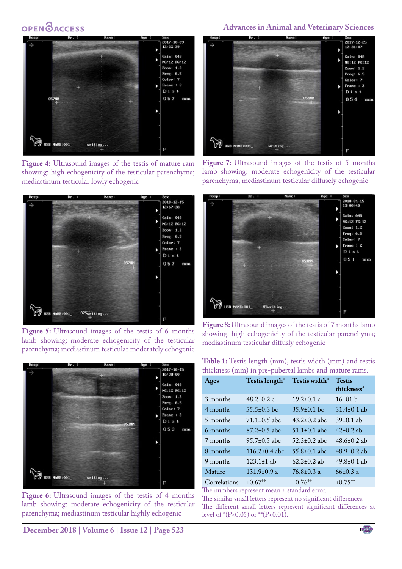# **OPEN**OACCESS



**Figure 4:** Ultrasound images of the testis of mature ram showing: high echogenicity of the testicular parenchyma; mediastinum testicular lowly echogenic

<span id="page-2-1"></span>

<span id="page-2-2"></span>**Figure 5:** Ultrasound images of the testis of 6 months lamb showing: moderate echogenicity of the testicular parenchyma**;** mediastinum testicular moderately echogenic



Figure 6: Ultrasound images of the testis of 4 months lamb showing: moderate echogenicity of the testicular parenchyma; mediastinum testicular highly echogenic

<span id="page-2-3"></span>**December 2018 | Volume 6 | Issue 12 | Page 523**

### **Advances in Animal and Veterinary Sciences**



Figure 7: Ultrasound images of the testis of 5 months lamb showing: moderate echogenicity of the testicular parenchyma; mediastinum testicular diffusely echogenic

<span id="page-2-4"></span>

<span id="page-2-5"></span>

<span id="page-2-0"></span>

| <b>Table 1:</b> Testis length (mm), testis width (mm) and testis |  |  |  |
|------------------------------------------------------------------|--|--|--|
| thickness (mm) in pre-pubertal lambs and mature rams.            |  |  |  |

| Ages         | Testis length*     | Testis width*      | <b>Testis</b><br>thickness* |
|--------------|--------------------|--------------------|-----------------------------|
| 3 months     | $48.2 \pm 0.2$ c   | $19.2 \pm 0.1$ c   | 16±01 h                     |
| 4 months     | $55.5 \pm 0.3$ bc  | $35.9\pm0.1$ bc    | $31.4\pm0.1$ ab             |
| 5 months     | $71.1 \pm 0.5$ abc | $43.2 \pm 0.2$ abc | $39\pm0.1$ ab               |
| 6 months     | $87.2 \pm 0.5$ abc | $51.1 \pm 0.1$ abc | $42\pm0.2$ ab               |
| 7 months     | $95.7 + 0.5$ abc.  | $52.3 \pm 0.2$ abc | $48.6 \pm 0.2$ ab           |
| 8 months     | $116.2\pm0.4$ abc  | $55.8\pm0.1$ abc   | $48.9 \pm 0.2$ ab           |
| 9 months     | $123.1 \pm 1$ ab   | $62.2 \pm 0.2$ ab  | $49.8 \pm 0.1$ ab           |
| Mature       | $131.9\pm0.9$ a    | $76.8 \pm 0.3$ a   | $66 \pm 0.3$ a              |
| Correlations | $+0.67**$          | $+0.76**$          | $+0.75**$                   |

The numbers represent mean ± standard error.

The similar small letters represent no significant differences. The different small letters represent significant differences at level of  ${}^*(P<0.05)$  or  ${}^{**}(P<0.01)$ .

NE**X**US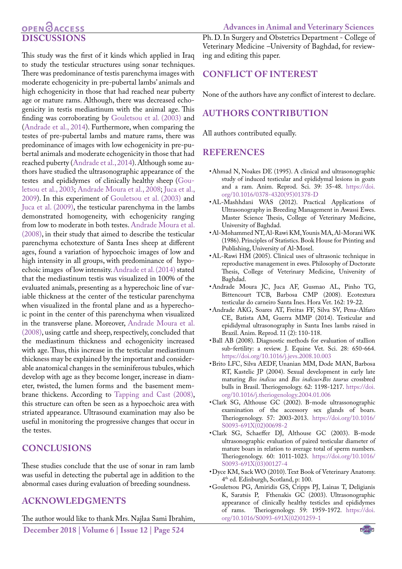## OPEN **OACCESS Discussions**

This study was the first of it kinds which applied in Iraq to study the testicular structures using sonar techniques. There was predominance of testis parenchyma images with moderate echogenicity in pre-pubertal lambs' animals and high echogenicity in those that had reached near puberty age or mature rams. Although, there was decreased echogenicity in testis mediastinum with the animal age. This finding was corroborating by [Gouletsou et al. \(2003\)](#page-3-3) and [\(Andrade et al., 2014\)](#page-3-0). Furthermore, when comparing the testes of pre-pubertal lambs and mature rams, there was predominance of images with low echogenicity in pre-pubertal animals and moderate echogenicity in those that had reached puberty [\(Andrade et al., 2014\)](#page-3-0). Although some authors have studied the ultrasonographic appearance of the testes and epididymes of clinically healthy sheep ([Gou](#page-3-3)[letsou et al., 2003;](#page-3-3) [Andrade Moura et al., 2008;](#page-3-4) [Juca et al.,](#page-4-2) [2009\)](#page-4-2). In this experiment of [Gouletsou et al. \(2003\)](#page-3-3) and [Juca et al. \(2009](#page-4-2)), the testicular parenchyma in the lambs demonstrated homogeneity, with echogenicity ranging from low to moderate in both testes. [Andrade Moura et al.](#page-3-4) [\(2008](#page-3-4)), in their study that aimed to describe the testicular parenchyma echotexture of Santa Ines sheep at different ages, found a variation of hypoechoic images of low and high intensity in all groups, with predominance of hypoechoic images of low intensity[. Andrade et al. \(2014\)](#page-3-0) stated that the mediastinum testis was visualized in 100% of the evaluated animals, presenting as a hyperechoic line of variable thickness at the center of the testicular parenchyma when visualized in the frontal plane and as a hyperechoic point in the center of this parenchyma when visualized in the transverse plane. Moreover, [Andrade Moura et al.](#page-3-4) [\(2008](#page-3-4)), using cattle and sheep, respectively, concluded that the mediastinum thickness and echogenicity increased with age. Thus, this increase in the testicular mediastinum thickness may be explained by the important and considerable anatomical changes in the seminiferous tubules, which develop with age as they become longer, increase in diameter, twisted, the lumen forms and the basement membrane thickens. According t[o Tapping and Cast \(2008\)](#page-4-1), this structure can often be seen as a hypoechoic area with striated appearance. Ultrasound examination may also be useful in monitoring the progressive changes that occur in the testes.

### **Conclusions**

These studies conclude that the use of sonar in ram lamb was useful in detecting the pubertal age in addition to the abnormal cases during evaluation of breeding soundness.

### **Acknowledgments**

**December 2018 | Volume 6 | Issue 12 | Page 524** The author would like to thank Mrs. Najlaa Sami Ibrahim,

**Advances in Animal and Veterinary Sciences** Ph. D. In Surgery and Obstetrics Department - College of Veterinary Medicine –University of Baghdad, for reviewing and editing this paper.

### **Conflict of Interest**

None of the authors have any conflict of interest to declare.

### **Authors Contribution**

All authors contributed equally.

#### **References**

- <span id="page-3-5"></span>• Ahmad N, Noakes DE (1995). A clinical and ultrasonographic study of induced testicular and epididymal lesions in goats and a ram. Anim. Reprod. Sci. 39: 35-48. [https://doi.](https://doi.org/10.1016/0378-4320(95)01378-D ) [org/10.1016/0378-4320\(95\)01378-D](https://doi.org/10.1016/0378-4320(95)01378-D )
- <span id="page-3-9"></span>• AL-Mashhdani WAS (2012). Practical Applications of Ultrasonography in Breeding Management in Awassi Ewes. Master Science Thesis, College of Veterinary Medicine, University of Baghdad.
- <span id="page-3-11"></span>• Al-Mohammed NT, Al-Rawi KM, Younis MA, Al-Morani WK (1986). Principles of Statistics. Book House for Printing and Publishing, University of Al-Mosel.
- <span id="page-3-8"></span>• AL-Rawi HM (2005). Clinical uses of ultrasonic technique in reproductive management in ewes. Philosophy of Doctorate Thesis, College of Veterinary Medicine, University of Baghdad.
- <span id="page-3-4"></span>• Andrade Moura JC, Juca AF, Gusmao AL, Pinho TG, Bittencourt TCB, Barbosa CMP (2008). Ecotextura testicular do carneiro Santa Ines. Hora Vet. 162: 19-22.
- <span id="page-3-0"></span>• Andrade AKG, Soares AT, Freitas FF, Silva SV, Pena-Alfaro CE, Batista AM, Guerra MMP (2014). Testicular and epididymal ultrasonography in Santa Ines lambs raised in Brazil. Anim. Reprod. 11 (2): 110-118.
- <span id="page-3-7"></span>• Ball AB (2008). Diagnostic methods for evaluation of stallion sub-fertility: a review. J. Equine Vet. Sci. 28: 650-664. [https://doi.org/10.1016/j.jevs.2008.10.003](https://doi.org/10.1016/j.jevs.2008.10.003 )
- <span id="page-3-2"></span>• Brito LFC, Silva AEDF, Unanian MM, Dode MAN, Barbosa RT, Kastelic JP (2004). Sexual development in early late maturing *Bos indicus* and *Bos indicus*×*Bos taurus* crossbred bulls in Brasil. Theriogenology. 62: 1198-1217. [https://doi.](https://doi.org/10.1016/j.theriogenology.2004.01.006 ) [org/10.1016/j.theriogenology.2004.01.006](https://doi.org/10.1016/j.theriogenology.2004.01.006 )
- <span id="page-3-6"></span>• Clark SG, Althouse GC (2002). B-mode ultrassonographic examination of the accessory sex glands of boars. Theriogenology. 57: 2003-2013. [https://doi.org/10.1016/](https://doi.org/10.1016/S0093-691X(02)00698-2 ) [S0093-691X\(02\)00698-2](https://doi.org/10.1016/S0093-691X(02)00698-2 )
- <span id="page-3-1"></span>• Clark SG, Schaeffer DJ, Althouse GC (2003). B-mode ultrasonographic evaluation of paired testicular diameter of mature boars in relation to average total of sperm numbers. Theriogenology. 60: 1011-1023. [https://doi.org/10.1016/](https://doi.org/10.1016/S0093-691X(03)00127-4 ) [S0093-691X\(03\)00127-4](https://doi.org/10.1016/S0093-691X(03)00127-4 )
- <span id="page-3-10"></span>• Dyce KM, Sack WO (2010). Text Book of Veterinary Anatomy. 4th ed. Edinburgh, Scotland, p: 100.
- <span id="page-3-3"></span>• Gouletsou PG, Amiridis GS, Cripps PJ, Lainas T, Deligianis K, Saratsis P, Fthenakis GC (2003). Ultrasonographic appearance of clinically healthy testicles and epididymes of rams. Theriogenology. 59: 1959-1972. https://doi. Theriogenology. 59: 1959-1972. [https://doi.](https://doi.org/10.1016/S0093-691X(02)01259-1 ) [org/10.1016/S0093-691X\(02\)01259-1](https://doi.org/10.1016/S0093-691X(02)01259-1 )